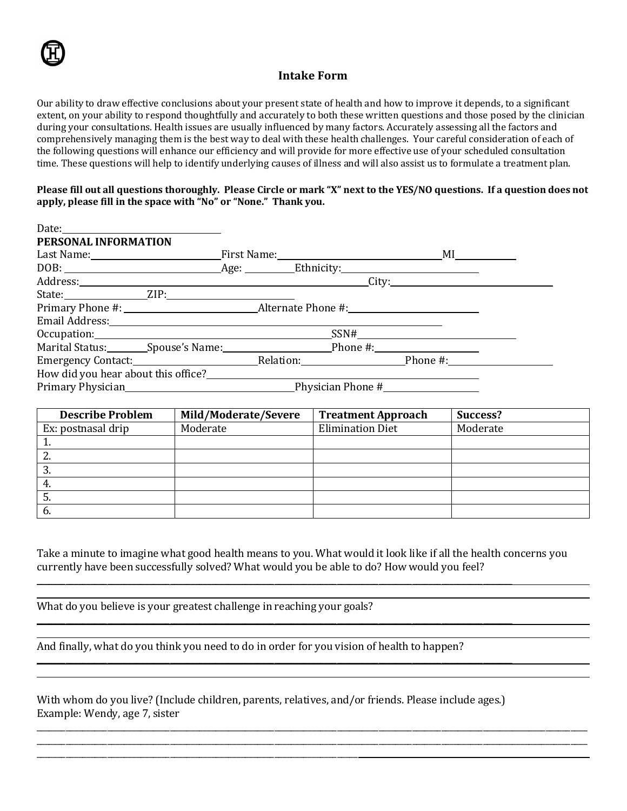## **Intake Form**

Our ability to draw effective conclusions about your present state of health and how to improve it depends, to a significant extent, on your ability to respond thoughtfully and accurately to both these written questions and those posed by the clinician during your consultations. Health issues are usually influenced by many factors. Accurately assessing all the factors and comprehensively managing them is the best way to deal with these health challenges. Your careful consideration of each of the following questions will enhance our efficiency and will provide for more effective use of your scheduled consultation time. These questions will help to identify underlying causes of illness and will also assist us to formulate a treatment plan.

#### **Please fill out all questions thoroughly. Please Circle or mark "X" next to the YES/NO questions. If a question does not apply, please fill in the space with "No" or "None." Thank you.**

| Date: $\qquad \qquad$                                                                                                                                                                                                          |  |             |  |
|--------------------------------------------------------------------------------------------------------------------------------------------------------------------------------------------------------------------------------|--|-------------|--|
| PERSONAL INFORMATION                                                                                                                                                                                                           |  |             |  |
|                                                                                                                                                                                                                                |  |             |  |
|                                                                                                                                                                                                                                |  |             |  |
|                                                                                                                                                                                                                                |  | City:       |  |
|                                                                                                                                                                                                                                |  |             |  |
|                                                                                                                                                                                                                                |  |             |  |
| Email Address: 2008 Contract and Address and Address and Address and Address and Address and Address and Address and Address and Address and Address and Address and Address and Address and Address and Address and Address a |  |             |  |
|                                                                                                                                                                                                                                |  | $SSN# \n\n$ |  |
|                                                                                                                                                                                                                                |  |             |  |
|                                                                                                                                                                                                                                |  |             |  |
| How did you hear about this office?                                                                                                                                                                                            |  |             |  |
| Primary Physician <b>Example 2</b> Physician Phone #                                                                                                                                                                           |  |             |  |

| <b>Describe Problem</b> | Mild/Moderate/Severe | <b>Treatment Approach</b> | Success? |
|-------------------------|----------------------|---------------------------|----------|
| Ex: postnasal drip      | Moderate             | <b>Elimination Diet</b>   | Moderate |
| π.                      |                      |                           |          |
| <u>L.</u>               |                      |                           |          |
| 3.                      |                      |                           |          |
| 4.                      |                      |                           |          |
| 5.                      |                      |                           |          |
| 6.                      |                      |                           |          |

Take a minute to imagine what good health means to you. What would it look like if all the health concerns you currently have been successfully solved? What would you be able to do? How would you feel?

\_\_\_\_\_\_\_\_\_\_\_\_\_\_\_\_\_\_\_\_\_\_\_\_\_\_\_\_\_\_\_\_\_\_\_\_\_\_\_\_\_\_\_\_\_\_\_\_\_\_\_\_\_\_\_\_\_\_\_\_\_\_\_\_\_\_\_\_\_\_\_\_\_\_\_\_\_\_\_\_\_\_\_\_\_\_\_\_\_\_\_\_\_\_\_\_\_\_\_\_\_\_\_\_\_\_\_\_\_\_\_\_\_\_\_\_\_\_\_\_\_\_\_\_\_\_\_\_\_\_\_\_ \_\_\_\_\_\_\_\_\_\_\_\_\_\_\_\_\_\_\_\_\_\_\_\_\_\_\_\_\_\_\_\_\_\_\_\_\_\_\_\_\_\_\_\_\_\_\_\_\_\_\_\_\_\_\_\_\_\_\_\_\_\_\_\_\_\_\_\_\_\_\_\_\_\_\_\_\_\_\_\_\_\_\_\_\_\_\_\_\_\_\_\_\_\_\_\_\_\_\_\_\_\_\_\_\_\_\_\_\_\_\_\_\_\_\_\_\_\_\_\_\_\_\_\_\_\_\_\_\_\_\_\_

What do you believe is your greatest challenge in reaching your goals?

\_\_\_\_\_\_\_\_\_\_\_\_\_\_\_\_\_\_\_\_\_\_\_\_\_\_\_\_\_\_\_\_\_\_\_\_\_\_\_\_\_\_\_\_\_\_\_\_\_\_\_\_\_\_\_\_\_\_\_\_\_\_\_\_\_\_\_\_\_\_\_\_\_\_\_\_\_

And finally, what do you think you need to do in order for you vision of health to happen?

With whom do you live? (Include children, parents, relatives, and/or friends. Please include ages.) Example: Wendy, age 7, sister

\_\_\_\_\_\_\_\_\_\_\_\_\_\_\_\_\_\_\_\_\_\_\_\_\_\_\_\_\_\_\_\_\_\_\_\_\_\_\_\_\_\_\_\_\_\_\_\_\_\_\_\_\_\_\_\_\_\_\_\_\_\_\_\_\_\_\_\_\_\_\_\_\_\_\_\_\_\_\_\_\_\_\_\_\_\_\_\_\_\_\_\_\_\_\_\_\_\_\_\_\_\_\_\_\_\_\_\_\_\_\_\_\_\_

 $\overline{\phantom{a}}$  , and the set of the set of the set of the set of the set of the set of the set of the set of the set of the set of the set of the set of the set of the set of the set of the set of the set of the set of the s

 $\mathcal{L} = \{ \mathcal{L} = \{ \mathcal{L} = \{ \mathcal{L} = \mathcal{L} \} \}$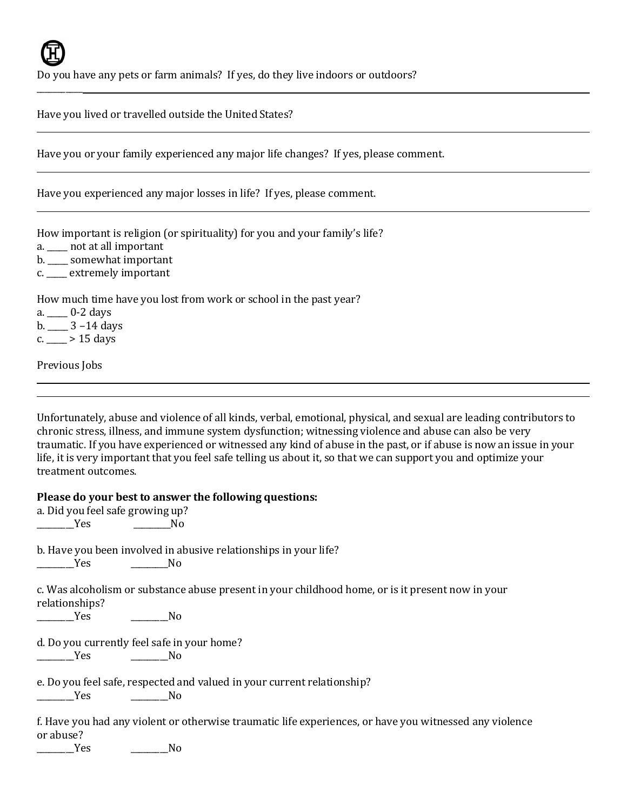$\overline{\phantom{a}}$ 

Do you have any pets or farm animals? If yes, do they live indoors or outdoors?

Have you lived or travelled outside the United States?

Have you or your family experienced any major life changes? If yes, please comment.

Have you experienced any major losses in life? If yes, please comment.

How important is religion (or spirituality) for you and your family's life?

a. \_\_\_\_\_ not at all important

b. \_\_\_\_\_ somewhat important

c. \_\_\_\_\_ extremely important

How much time have you lost from work or school in the past year?

a. \_\_\_\_\_ 0-2 days

 $b. \_\_\_$  3 – 14 days

c.  $> 15$  days

Previous Jobs

Unfortunately, abuse and violence of all kinds, verbal, emotional, physical, and sexual are leading contributors to chronic stress, illness, and immune system dysfunction; witnessing violence and abuse can also be very traumatic. If you have experienced or witnessed any kind of abuse in the past, or if abuse is now an issue in your life, it is very important that you feel safe telling us about it, so that we can support you and optimize your treatment outcomes.

## **Please do your best to answer the following questions:**

a. Did you feel safe growing up? \_\_\_\_\_\_\_\_\_Yes \_\_\_\_\_\_\_\_\_No

b. Have you been involved in abusive relationships in your life?

 $\overline{\phantom{a}}$ No

c. Was alcoholism or substance abuse present in your childhood home, or is it present now in your relationships?

 $N<sub>O</sub>$ 

d. Do you currently feel safe in your home?

 $\overline{\phantom{a}}$ No

e. Do you feel safe, respected and valued in your current relationship?  $\overline{N}$ o

f. Have you had any violent or otherwise traumatic life experiences, or have you witnessed any violence or abuse?

\_\_\_\_\_\_\_\_\_Yes \_\_\_\_\_\_\_\_\_No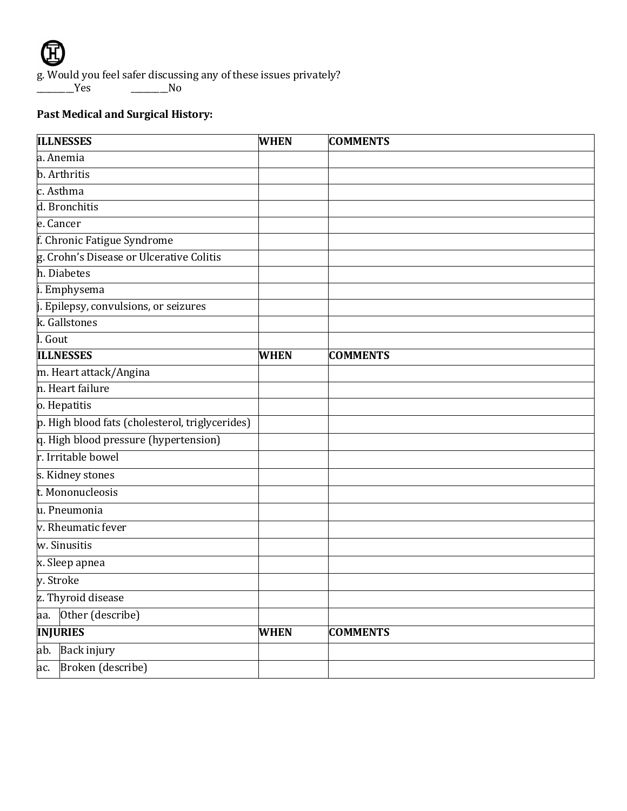

g. Would you feel safer discussing any of these issues privately?<br>No Separately 2006.

 $\_\_$  No

# **Past Medical and Surgical History:**

| <b>ILLNESSES</b>                                | <b>WHEN</b> | <b>COMMENTS</b> |
|-------------------------------------------------|-------------|-----------------|
| a. Anemia                                       |             |                 |
| b. Arthritis                                    |             |                 |
| c. Asthma                                       |             |                 |
| d. Bronchitis                                   |             |                 |
| e. Cancer                                       |             |                 |
| f. Chronic Fatigue Syndrome                     |             |                 |
| g. Crohn's Disease or Ulcerative Colitis        |             |                 |
| h. Diabetes                                     |             |                 |
| i. Emphysema                                    |             |                 |
| j. Epilepsy, convulsions, or seizures           |             |                 |
| k. Gallstones                                   |             |                 |
| l. Gout                                         |             |                 |
| <b>ILLNESSES</b>                                | <b>WHEN</b> | <b>COMMENTS</b> |
| m. Heart attack/Angina                          |             |                 |
| n. Heart failure                                |             |                 |
| o. Hepatitis                                    |             |                 |
| p. High blood fats (cholesterol, triglycerides) |             |                 |
| q. High blood pressure (hypertension)           |             |                 |
| r. Irritable bowel                              |             |                 |
| s. Kidney stones                                |             |                 |
| t. Mononucleosis                                |             |                 |
| u. Pneumonia                                    |             |                 |
| v. Rheumatic fever                              |             |                 |
| w. Sinusitis                                    |             |                 |
| x. Sleep apnea                                  |             |                 |
| v. Stroke                                       |             |                 |
| z. Thyroid disease                              |             |                 |
| Other (describe)<br>aa.                         |             |                 |
| <b>INJURIES</b>                                 | <b>WHEN</b> | <b>COMMENTS</b> |
| Back injury<br>ab.                              |             |                 |
| Broken (describe)<br>ac.                        |             |                 |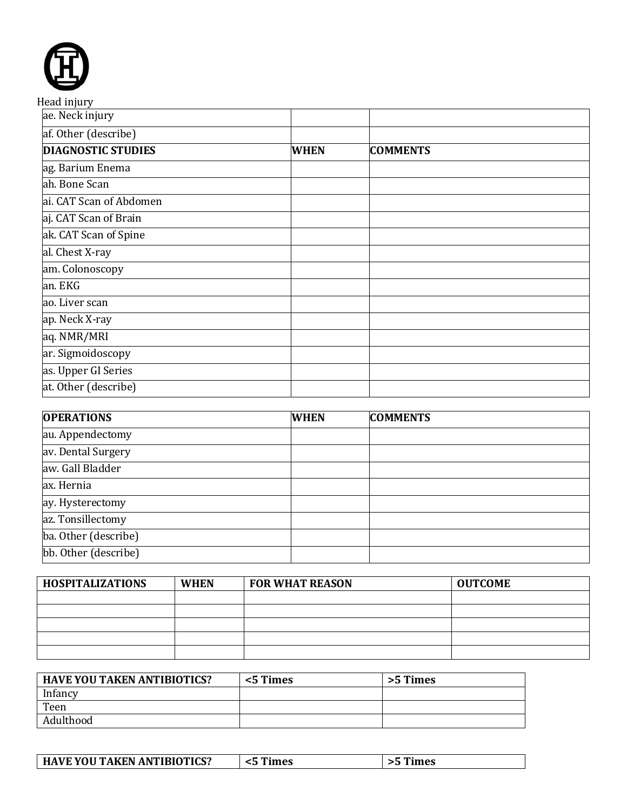| Head injury               |             |                 |  |
|---------------------------|-------------|-----------------|--|
| ae. Neck injury           |             |                 |  |
| af. Other (describe)      |             |                 |  |
| <b>DIAGNOSTIC STUDIES</b> | <b>WHEN</b> | <b>COMMENTS</b> |  |
| ag. Barium Enema          |             |                 |  |
| ah. Bone Scan             |             |                 |  |
| ai. CAT Scan of Abdomen   |             |                 |  |
| aj. CAT Scan of Brain     |             |                 |  |
| ak. CAT Scan of Spine     |             |                 |  |
| al. Chest X-ray           |             |                 |  |
| am. Colonoscopy           |             |                 |  |
| an. EKG                   |             |                 |  |
| ao. Liver scan            |             |                 |  |
| ap. Neck X-ray            |             |                 |  |
| aq. NMR/MRI               |             |                 |  |
| ar. Sigmoidoscopy         |             |                 |  |
| as. Upper GI Series       |             |                 |  |
| at. Other (describe)      |             |                 |  |

| <b>OPERATIONS</b>    | <b>WHEN</b> | <b>COMMENTS</b> |
|----------------------|-------------|-----------------|
| au. Appendectomy     |             |                 |
| av. Dental Surgery   |             |                 |
| aw. Gall Bladder     |             |                 |
| ax. Hernia           |             |                 |
| ay. Hysterectomy     |             |                 |
| az. Tonsillectomy    |             |                 |
| ba. Other (describe) |             |                 |
| bb. Other (describe) |             |                 |

| <b>HOSPITALIZATIONS</b> | <b>WHEN</b> | <b>FOR WHAT REASON</b> | <b>OUTCOME</b> |
|-------------------------|-------------|------------------------|----------------|
|                         |             |                        |                |
|                         |             |                        |                |
|                         |             |                        |                |
|                         |             |                        |                |
|                         |             |                        |                |

| <b>HAVE YOU TAKEN ANTIBIOTICS?</b> | <5 Times | >5 Times |
|------------------------------------|----------|----------|
| Infancy                            |          |          |
| Teen                               |          |          |
| Adulthood                          |          |          |

|  | HAVE YOU TAKEN ANTIBIOTICS? | Times |  |
|--|-----------------------------|-------|--|
|--|-----------------------------|-------|--|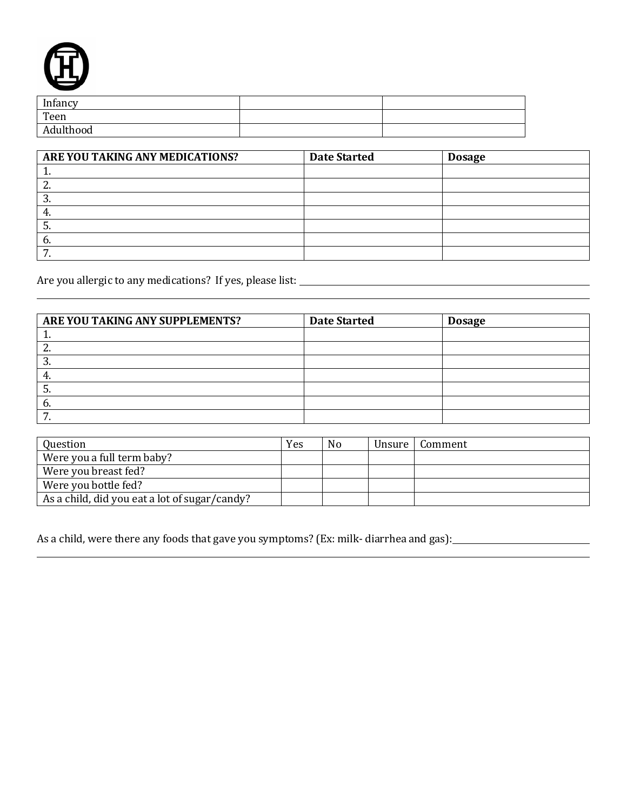

| Infancy   |  |
|-----------|--|
| Teen      |  |
| Adulthood |  |

| ARE YOU TAKING ANY MEDICATIONS? | <b>Date Started</b> | <b>Dosage</b> |
|---------------------------------|---------------------|---------------|
| <b>.</b>                        |                     |               |
| <u>.</u>                        |                     |               |
| Ω<br>.ບ.                        |                     |               |
| 4.                              |                     |               |
| C.                              |                     |               |
| b.                              |                     |               |
| ⇁<br>. .                        |                     |               |

Are you allergic to any medications? If yes, please list:

| ARE YOU TAKING ANY SUPPLEMENTS? | <b>Date Started</b> | <b>Dosage</b> |  |
|---------------------------------|---------------------|---------------|--|
|                                 |                     |               |  |
| <u>.</u>                        |                     |               |  |
| . ა.                            |                     |               |  |
| 4.                              |                     |               |  |
| D.                              |                     |               |  |
| b.                              |                     |               |  |
|                                 |                     |               |  |

| Question                                      | Yes | N <sub>0</sub> | Unsure   Comment |
|-----------------------------------------------|-----|----------------|------------------|
| Were you a full term baby?                    |     |                |                  |
| Were you breast fed?                          |     |                |                  |
| Were you bottle fed?                          |     |                |                  |
| As a child, did you eat a lot of sugar/candy? |     |                |                  |

As a child, were there any foods that gave you symptoms? (Ex: milk- diarrhea and gas): \_\_\_\_\_\_\_\_\_\_\_\_\_\_\_\_\_\_\_\_\_\_\_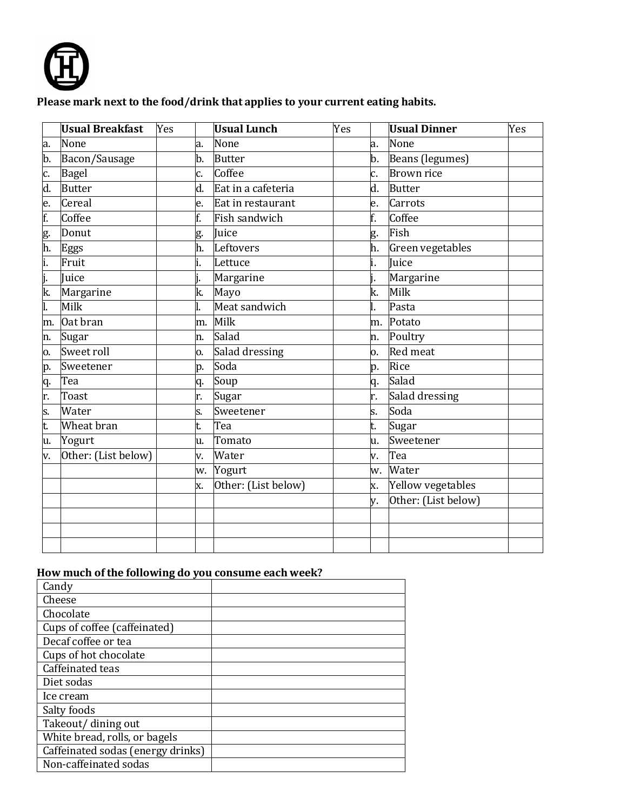

## **Please mark next to the food/drink that applies to your current eating habits.**

|     | <b>Usual Breakfast</b> | Yes |    | <b>Usual Lunch</b>  | Yes |    | <b>Usual Dinner</b> | Yes |
|-----|------------------------|-----|----|---------------------|-----|----|---------------------|-----|
| la. | None                   |     | a. | None                |     | a. | None                |     |
| b.  | Bacon/Sausage          |     | b. | <b>Butter</b>       |     | b. | Beans (legumes)     |     |
| lc. | Bagel                  |     | c. | Coffee              |     | c. | <b>Brown rice</b>   |     |
| d.  | <b>Butter</b>          |     | d. | Eat in a cafeteria  |     | d. | <b>Butter</b>       |     |
| le. | Cereal                 |     | e. | Eat in restaurant   |     | e. | Carrots             |     |
| f.  | Coffee                 | f.  |    | Fish sandwich       |     | f. | Coffee              |     |
| g.  | Donut                  |     | g. | Juice               |     | g. | Fish                |     |
| h.  | Eggs                   |     | h. | Leftovers           |     | h. | Green vegetables    |     |
| i.  | Fruit                  |     |    | Lettuce             |     | i. | Juice               |     |
| j.  | Juice                  |     |    | Margarine           |     |    | Margarine           |     |
| k.  | Margarine              |     | k. | Mayo                |     | k. | Milk                |     |
| l.  | Milk                   |     |    | Meat sandwich       |     |    | Pasta               |     |
| m.  | Oat bran               |     | m. | Milk                |     | m. | Potato              |     |
| n.  | Sugar                  |     | n. | Salad               |     | n. | Poultry             |     |
| ю.  | Sweet roll             |     | 0. | Salad dressing      |     | 0. | Red meat            |     |
| p.  | Sweetener              |     | p. | Soda                |     | p. | Rice                |     |
| q.  | Tea                    |     | q. | Soup                |     | q. | Salad               |     |
| r.  | <b>Toast</b>           |     | r. | Sugar               |     | r. | Salad dressing      |     |
| ls. | Water                  |     | S. | Sweetener           |     | s. | Soda                |     |
| lt. | Wheat bran             | t.  |    | Tea                 |     | t. | Sugar               |     |
| lu. | Yogurt                 |     | u. | Tomato              |     | u. | Sweetener           |     |
| v.  | Other: (List below)    |     | v. | Water               |     | v. | Tea                 |     |
|     |                        |     | w. | Yogurt              |     | w. | Water               |     |
|     |                        |     | X. | Other: (List below) |     | x. | Yellow vegetables   |     |
|     |                        |     |    |                     |     | V. | Other: (List below) |     |
|     |                        |     |    |                     |     |    |                     |     |
|     |                        |     |    |                     |     |    |                     |     |
|     |                        |     |    |                     |     |    |                     |     |

# **How much of the following do you consume each week?**

| Candy                             |  |
|-----------------------------------|--|
| Cheese                            |  |
| Chocolate                         |  |
| Cups of coffee (caffeinated)      |  |
| Decaf coffee or tea               |  |
| Cups of hot chocolate             |  |
| Caffeinated teas                  |  |
| Diet sodas                        |  |
| Ice cream                         |  |
| Salty foods                       |  |
| Takeout/ dining out               |  |
| White bread, rolls, or bagels     |  |
| Caffeinated sodas (energy drinks) |  |
| Non-caffeinated sodas             |  |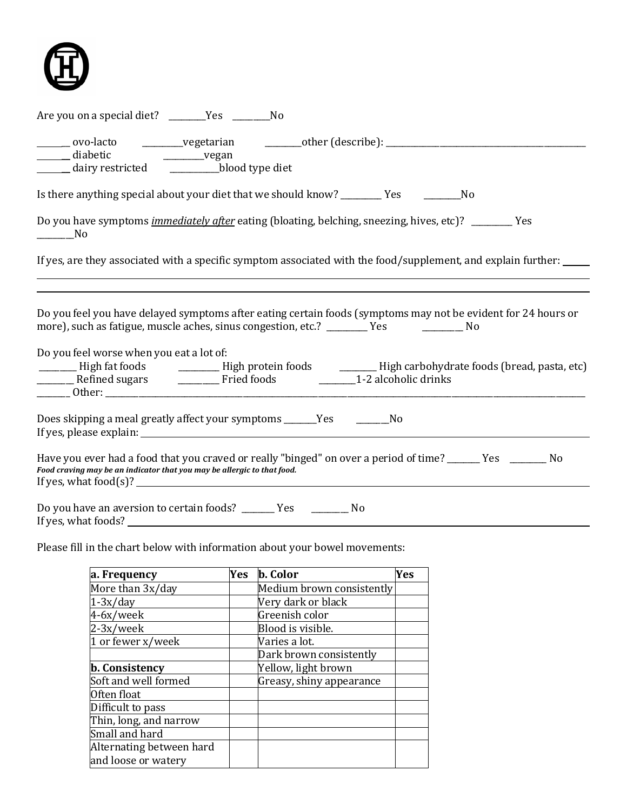

| Are you on a special diet? ________Yes ___________No                                                                                                                                                                                                                                                        |
|-------------------------------------------------------------------------------------------------------------------------------------------------------------------------------------------------------------------------------------------------------------------------------------------------------------|
| _______ ovo-lacto ____________vegetarian ___________other (describe): _____________________________<br>_______ diabetic ___________________vegan<br>dairy restricted ____________blood type diet                                                                                                            |
|                                                                                                                                                                                                                                                                                                             |
| Do you have symptoms <i>immediately after</i> eating (bloating, belching, sneezing, hives, etc)? _______ Yes<br>$\rule{1em}{0.15mm}$ No                                                                                                                                                                     |
| If yes, are they associated with a specific symptom associated with the food/supplement, and explain further:                                                                                                                                                                                               |
| Do you feel you have delayed symptoms after eating certain foods (symptoms may not be evident for 24 hours or<br>more), such as fatigue, muscle aches, sinus congestion, etc.? ________ Yes _________ No<br>Do you feel worse when you eat a lot of:                                                        |
| High fat foods ____________High protein foods __________High carbohydrate foods (bread, pasta, etc)                                                                                                                                                                                                         |
| Does skipping a meal greatly affect your symptoms ______Yes ___________No<br>If yes, please explain: The contract of the contract of the contract of the contract of the contract of the contract of the contract of the contract of the contract of the contract of the contract of the contract of the co |
| Have you ever had a food that you craved or really "binged" on over a period of time? ______ Yes ________ No<br>Food craving may be an indicator that you may be allergic to that food.<br>If yes, what food(s)? $\qquad \qquad$                                                                            |
| Do you have an aversion to certain foods? ________ Yes ____________ No<br>If yes, what foods?                                                                                                                                                                                                               |

Please fill in the chart below with information about your bowel movements:

| a. Frequency             | <b>Yes</b> | <b>b.</b> Color           | Yes |
|--------------------------|------------|---------------------------|-----|
| More than 3x/day         |            | Medium brown consistently |     |
| $1-3x/day$               |            | Very dark or black        |     |
| 4-6x/week                |            | Greenish color            |     |
| 2-3x/week                |            | Blood is visible.         |     |
| 1 or fewer x/week        |            | Varies a lot.             |     |
|                          |            | Dark brown consistently   |     |
| <b>b.</b> Consistency    |            | Yellow, light brown       |     |
| Soft and well formed     |            | Greasy, shiny appearance  |     |
| Often float              |            |                           |     |
| Difficult to pass        |            |                           |     |
| Thin, long, and narrow   |            |                           |     |
| Small and hard           |            |                           |     |
| Alternating between hard |            |                           |     |
| and loose or watery      |            |                           |     |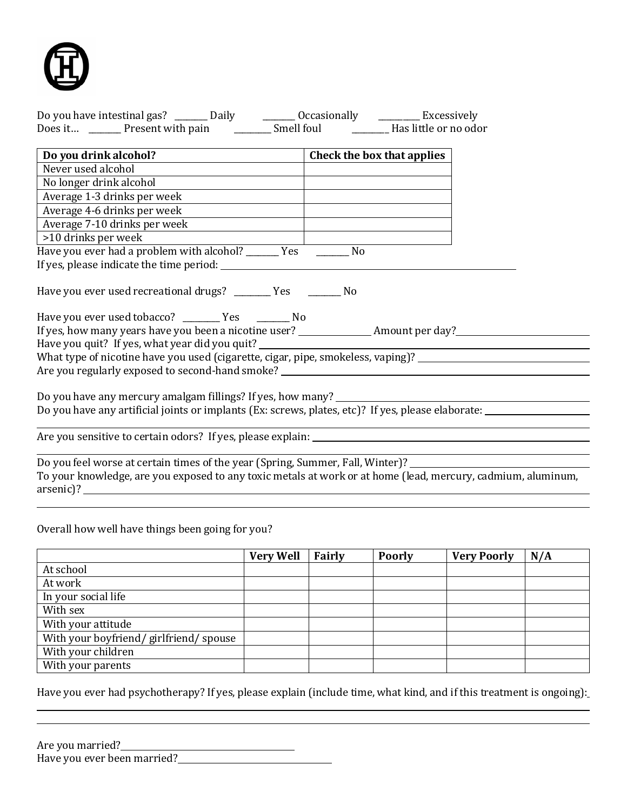

| Do you have intestinal gas? ________ Daily ___________ Occasionally ___________ Excessively                                 |                                                                                                                                                                                                                                                                                                |
|-----------------------------------------------------------------------------------------------------------------------------|------------------------------------------------------------------------------------------------------------------------------------------------------------------------------------------------------------------------------------------------------------------------------------------------|
|                                                                                                                             |                                                                                                                                                                                                                                                                                                |
|                                                                                                                             |                                                                                                                                                                                                                                                                                                |
| Do you drink alcohol?<br>Check the box that applies                                                                         |                                                                                                                                                                                                                                                                                                |
| Never used alcohol                                                                                                          |                                                                                                                                                                                                                                                                                                |
| No longer drink alcohol                                                                                                     | <u> 1989 - Johann Barbara, martin amerikan personal (</u>                                                                                                                                                                                                                                      |
| Average 1-3 drinks per week                                                                                                 |                                                                                                                                                                                                                                                                                                |
| Average 4-6 drinks per week                                                                                                 |                                                                                                                                                                                                                                                                                                |
| Average 7-10 drinks per week                                                                                                |                                                                                                                                                                                                                                                                                                |
| >10 drinks per week                                                                                                         |                                                                                                                                                                                                                                                                                                |
| Have you ever had a problem with alcohol? ______ Yes _______ No                                                             |                                                                                                                                                                                                                                                                                                |
|                                                                                                                             |                                                                                                                                                                                                                                                                                                |
| Have you ever used recreational drugs? _______ Yes _______ No<br>Have you ever used tobacco? ___________ Yes ___________ No |                                                                                                                                                                                                                                                                                                |
| Have you quit? If yes, what year did you quit? __________________________________                                           |                                                                                                                                                                                                                                                                                                |
|                                                                                                                             | What type of nicotine have you used (cigarette, cigar, pipe, smokeless, vaping)? _____________________________                                                                                                                                                                                 |
|                                                                                                                             |                                                                                                                                                                                                                                                                                                |
|                                                                                                                             |                                                                                                                                                                                                                                                                                                |
|                                                                                                                             | Do you have any mercury amalgam fillings? If yes, how many?<br>The many and the many and the many and the many and the many and the many and the many and the many and the m<br>Do you have any artificial joints or implants (Ex: screws, plates, etc)? If yes, please elaborate: ___________ |
|                                                                                                                             |                                                                                                                                                                                                                                                                                                |
| Do you feel worse at certain times of the year (Spring, Summer, Fall, Winter)? ____________________                         |                                                                                                                                                                                                                                                                                                |
|                                                                                                                             | To your knowledge, are you exposed to any toxic metals at work or at home (lead, mercury, cadmium, aluminum,                                                                                                                                                                                   |

Overall how well have things been going for you?

arsenic)?

|                                       | <b>Very Well</b> | Fairly | <b>Poorly</b> | <b>Very Poorly</b> | N/A |
|---------------------------------------|------------------|--------|---------------|--------------------|-----|
| At school                             |                  |        |               |                    |     |
| At work                               |                  |        |               |                    |     |
| In your social life                   |                  |        |               |                    |     |
| With sex                              |                  |        |               |                    |     |
| With your attitude                    |                  |        |               |                    |     |
| With your boyfriend/girlfriend/spouse |                  |        |               |                    |     |
| With your children                    |                  |        |               |                    |     |
| With your parents                     |                  |        |               |                    |     |

Have you ever had psychotherapy? If yes, please explain (include time, what kind, and if this treatment is ongoing):

| Are you married?            |  |
|-----------------------------|--|
| Have you ever been married? |  |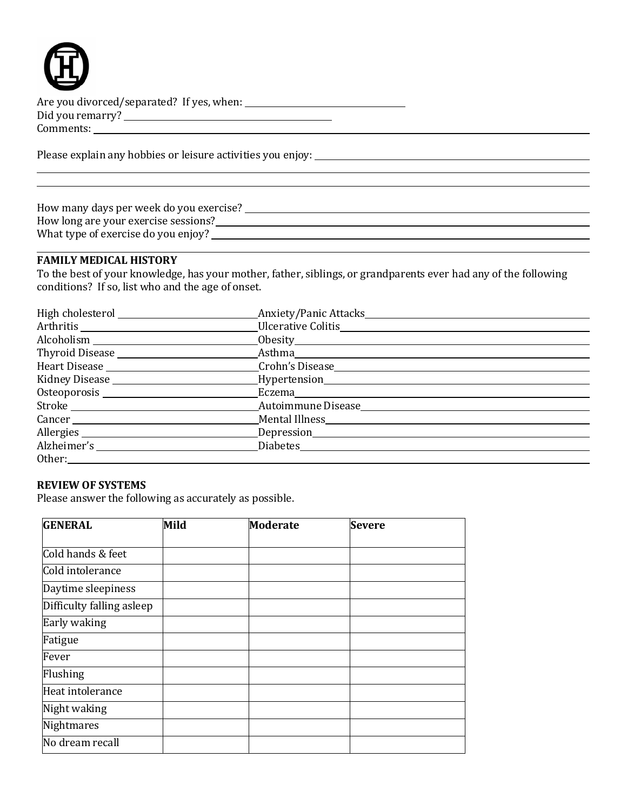

Are you divorced/separated? If yes, when: Did you remarry? Comments:

Please explain any hobbies or leisure activities you enjoy:

| How many days per week do you exercise? |  |
|-----------------------------------------|--|
| How long are your exercise sessions?    |  |
| What type of exercise do you enjoy?     |  |
|                                         |  |

### **FAMILY MEDICAL HISTORY**

To the best of your knowledge, has your mother, father, siblings, or grandparents ever had any of the following conditions? If so, list who and the age of onset.

|        | Anxiety/Panic Attacks                                                                                          |
|--------|----------------------------------------------------------------------------------------------------------------|
|        |                                                                                                                |
|        |                                                                                                                |
|        |                                                                                                                |
|        |                                                                                                                |
|        | Kidney Disease _______________________________Hypertension_______________________                              |
|        | Osteoporosis et al. 2010 et al. 2010 Eczema et al. 2010 et al. 2010 et al. 2010 et al. 2010 et al. 2010 et al. |
|        |                                                                                                                |
| Cancer |                                                                                                                |
|        | Allergies _____________________________Depression________________________________                              |
|        |                                                                                                                |
| Other: |                                                                                                                |

#### **REVIEW OF SYSTEMS**

Please answer the following as accurately as possible.

| <b>GENERAL</b>            | Mild | <b>Moderate</b> | <b>Severe</b> |
|---------------------------|------|-----------------|---------------|
|                           |      |                 |               |
| Cold hands & feet         |      |                 |               |
| Cold intolerance          |      |                 |               |
| Daytime sleepiness        |      |                 |               |
| Difficulty falling asleep |      |                 |               |
| Early waking              |      |                 |               |
| Fatigue                   |      |                 |               |
| Fever                     |      |                 |               |
| Flushing                  |      |                 |               |
| Heat intolerance          |      |                 |               |
| Night waking              |      |                 |               |
| Nightmares                |      |                 |               |
| No dream recall           |      |                 |               |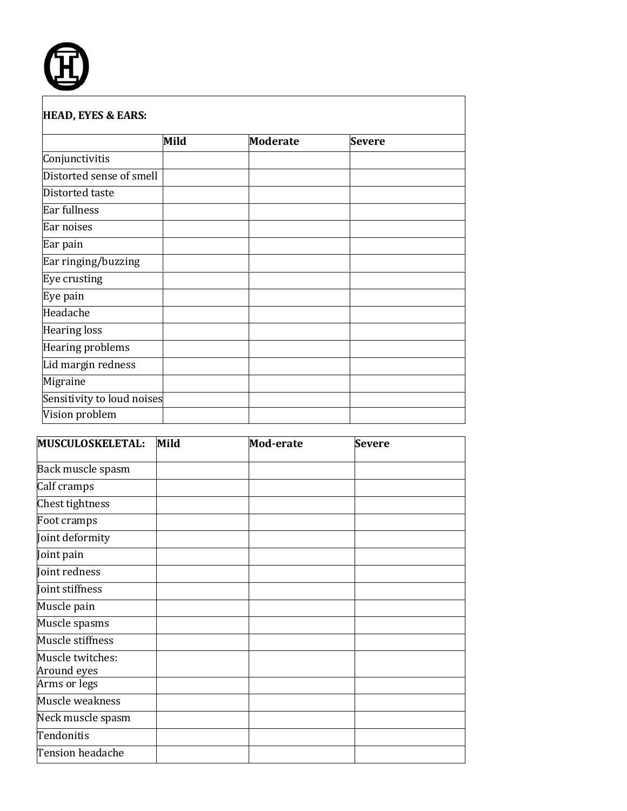

|                            | Mild | <b>Moderate</b> | <b>Severe</b> |
|----------------------------|------|-----------------|---------------|
| Conjunctivitis             |      |                 |               |
| Distorted sense of smell   |      |                 |               |
| Distorted taste            |      |                 |               |
| Ear fullness               |      |                 |               |
| Ear noises                 |      |                 |               |
| Ear pain                   |      |                 |               |
| Ear ringing/buzzing        |      |                 |               |
| Eye crusting               |      |                 |               |
| Eye pain                   |      |                 |               |
| Headache                   |      |                 |               |
| <b>Hearing loss</b>        |      |                 |               |
| Hearing problems           |      |                 |               |
| Lid margin redness         |      |                 |               |
| Migraine                   |      |                 |               |
| Sensitivity to loud noises |      |                 |               |
| Vision problem             |      |                 |               |

| MUSCULOSKELETAL:  | Mild | Mod-erate | <b>Severe</b> |
|-------------------|------|-----------|---------------|
|                   |      |           |               |
| Back muscle spasm |      |           |               |
| Calf cramps       |      |           |               |
| Chest tightness   |      |           |               |
| Foot cramps       |      |           |               |
| Joint deformity   |      |           |               |
| Joint pain        |      |           |               |
| Joint redness     |      |           |               |
| Joint stiffness   |      |           |               |
| Muscle pain       |      |           |               |
| Muscle spasms     |      |           |               |
| Muscle stiffness  |      |           |               |
| Muscle twitches:  |      |           |               |
| Around eyes       |      |           |               |
| Arms or legs      |      |           |               |
| Muscle weakness   |      |           |               |
| Neck muscle spasm |      |           |               |
| Tendonitis        |      |           |               |
| Tension headache  |      |           |               |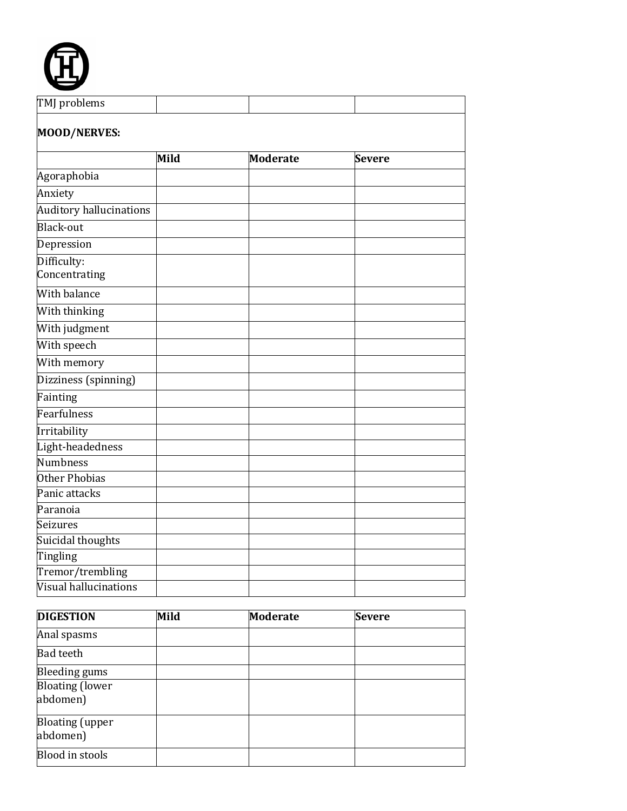

| TMJ problems                    |      |                 |               |
|---------------------------------|------|-----------------|---------------|
| <b>MOOD/NERVES:</b>             |      |                 |               |
|                                 | Mild | <b>Moderate</b> | <b>Severe</b> |
| Agoraphobia                     |      |                 |               |
| Anxiety                         |      |                 |               |
| Auditory hallucinations         |      |                 |               |
| Black-out                       |      |                 |               |
| Depression                      |      |                 |               |
| Difficulty:<br>Concentrating    |      |                 |               |
| <b>With balance</b>             |      |                 |               |
| With thinking                   |      |                 |               |
| With judgment                   |      |                 |               |
| With speech                     |      |                 |               |
| $\overline{\text{With memory}}$ |      |                 |               |
| Dizziness (spinning)            |      |                 |               |
| Fainting                        |      |                 |               |
| Fearfulness                     |      |                 |               |
| Irritability                    |      |                 |               |
| Light-headedness                |      |                 |               |
| Numbness                        |      |                 |               |
| Other Phobias                   |      |                 |               |
| Panic attacks                   |      |                 |               |
| Paranoia                        |      |                 |               |
| <b>Seizures</b>                 |      |                 |               |
| Suicidal thoughts               |      |                 |               |
| Tingling                        |      |                 |               |
| Tremor/trembling                |      |                 |               |
| Visual hallucinations           |      |                 |               |

| <b>DIGESTION</b>                   | Mild | <b>Moderate</b> | <b>Severe</b> |  |
|------------------------------------|------|-----------------|---------------|--|
| Anal spasms                        |      |                 |               |  |
| <b>Bad teeth</b>                   |      |                 |               |  |
| Bleeding gums                      |      |                 |               |  |
| <b>Bloating (lower</b><br>abdomen) |      |                 |               |  |
| <b>Bloating</b> (upper<br>abdomen) |      |                 |               |  |
| Blood in stools                    |      |                 |               |  |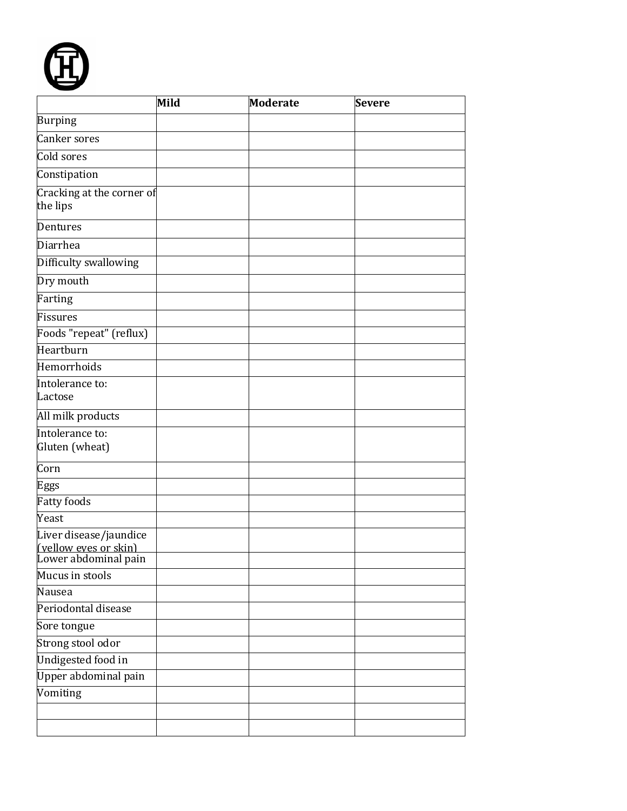

|                                                                         | Mild | <b>Moderate</b> | <b>Severe</b> |  |
|-------------------------------------------------------------------------|------|-----------------|---------------|--|
| <b>Burping</b>                                                          |      |                 |               |  |
| Canker sores                                                            |      |                 |               |  |
| Cold sores                                                              |      |                 |               |  |
| Constipation                                                            |      |                 |               |  |
| Cracking at the corner of<br>the lips                                   |      |                 |               |  |
| Dentures                                                                |      |                 |               |  |
| Diarrhea                                                                |      |                 |               |  |
| Difficulty swallowing                                                   |      |                 |               |  |
| Dry mouth                                                               |      |                 |               |  |
| Farting                                                                 |      |                 |               |  |
| Fissures                                                                |      |                 |               |  |
| Foods "repeat" (reflux)                                                 |      |                 |               |  |
| Heartburn                                                               |      |                 |               |  |
| Hemorrhoids                                                             |      |                 |               |  |
| Intolerance to:<br>Lactose                                              |      |                 |               |  |
| All milk products                                                       |      |                 |               |  |
| Intolerance to:<br>Gluten (wheat)                                       |      |                 |               |  |
| Corn                                                                    |      |                 |               |  |
| Eggs                                                                    |      |                 |               |  |
| <b>Fatty foods</b>                                                      |      |                 |               |  |
| Yeast                                                                   |      |                 |               |  |
| Liver disease/jaundice<br>(vellow eves or skin)<br>Lower abdominal pain |      |                 |               |  |
| Mucus in stools                                                         |      |                 |               |  |
| Nausea                                                                  |      |                 |               |  |
| Periodontal disease                                                     |      |                 |               |  |
| Sore tongue                                                             |      |                 |               |  |
| Strong stool odor                                                       |      |                 |               |  |
| Undigested food in                                                      |      |                 |               |  |
| Upper abdominal pain                                                    |      |                 |               |  |
| Vomiting                                                                |      |                 |               |  |
|                                                                         |      |                 |               |  |
|                                                                         |      |                 |               |  |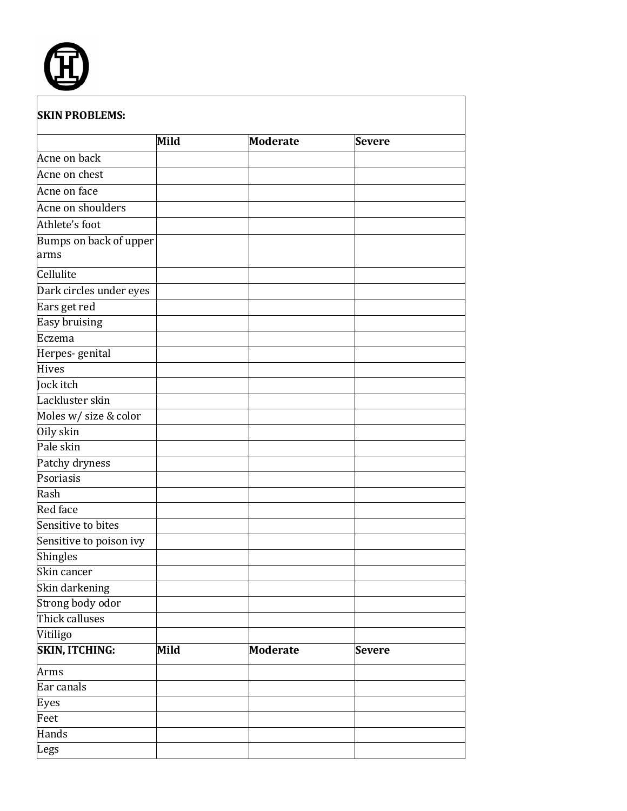

|                                | Mild | <b>Moderate</b> | <b>Severe</b> |
|--------------------------------|------|-----------------|---------------|
| Acne on back                   |      |                 |               |
| Acne on chest                  |      |                 |               |
| Acne on face                   |      |                 |               |
| Acne on shoulders              |      |                 |               |
| Athlete's foot                 |      |                 |               |
| Bumps on back of upper<br>arms |      |                 |               |
| Cellulite                      |      |                 |               |
| Dark circles under eyes        |      |                 |               |
| Ears get red                   |      |                 |               |
| Easy bruising                  |      |                 |               |
| Eczema                         |      |                 |               |
| Herpes-genital                 |      |                 |               |
| Hives                          |      |                 |               |
| Jock itch                      |      |                 |               |
| Lackluster skin                |      |                 |               |
| Moles w/ size & color          |      |                 |               |
| Oily skin                      |      |                 |               |
| Pale skin                      |      |                 |               |
| Patchy dryness                 |      |                 |               |
| Psoriasis                      |      |                 |               |
| Rash                           |      |                 |               |
| Red face                       |      |                 |               |
| Sensitive to bites             |      |                 |               |
| Sensitive to poison ivy        |      |                 |               |
| Shingles                       |      |                 |               |
| Skin cancer                    |      |                 |               |
| Skin darkening                 |      |                 |               |
| Strong body odor               |      |                 |               |
| Thick calluses                 |      |                 |               |
| Vitiligo                       |      |                 |               |
| <b>SKIN, ITCHING:</b>          | Mild | <b>Moderate</b> | <b>Severe</b> |
| Arms                           |      |                 |               |
| Ear canals                     |      |                 |               |
| Eyes                           |      |                 |               |
| Feet                           |      |                 |               |
| Hands                          |      |                 |               |
| Legs                           |      |                 |               |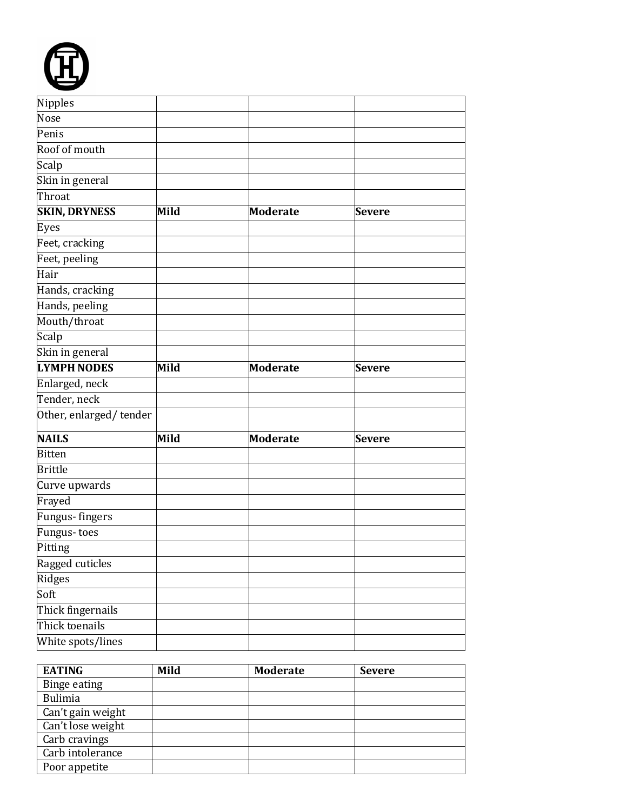| Nipples                |      |                 |               |  |
|------------------------|------|-----------------|---------------|--|
| Nose                   |      |                 |               |  |
| Penis                  |      |                 |               |  |
| Roof of mouth          |      |                 |               |  |
| Scalp                  |      |                 |               |  |
| Skin in general        |      |                 |               |  |
| Throat                 |      |                 |               |  |
| <b>SKIN, DRYNESS</b>   | Mild | <b>Moderate</b> | <b>Severe</b> |  |
| Eyes                   |      |                 |               |  |
| Feet, cracking         |      |                 |               |  |
| Feet, peeling          |      |                 |               |  |
| Hair                   |      |                 |               |  |
| Hands, cracking        |      |                 |               |  |
| Hands, peeling         |      |                 |               |  |
| Mouth/throat           |      |                 |               |  |
| Scalp                  |      |                 |               |  |
| Skin in general        |      |                 |               |  |
| <b>LYMPH NODES</b>     | Mild | <b>Moderate</b> | <b>Severe</b> |  |
| Enlarged, neck         |      |                 |               |  |
| Tender, neck           |      |                 |               |  |
| Other, enlarged/tender |      |                 |               |  |
| <b>NAILS</b>           | Mild | <b>Moderate</b> | <b>Severe</b> |  |
| <b>Bitten</b>          |      |                 |               |  |
| <b>Brittle</b>         |      |                 |               |  |
| Curve upwards          |      |                 |               |  |
| Frayed                 |      |                 |               |  |
| Fungus- fingers        |      |                 |               |  |
| Fungus-toes            |      |                 |               |  |
| Pitting                |      |                 |               |  |
| Ragged cuticles        |      |                 |               |  |
| Ridges                 |      |                 |               |  |
| Soft                   |      |                 |               |  |
| Thick fingernails      |      |                 |               |  |
| Thick toenails         |      |                 |               |  |
| White spots/lines      |      |                 |               |  |

F

| <b>EATING</b>     | Mild | <b>Moderate</b> | <b>Severe</b> |
|-------------------|------|-----------------|---------------|
| Binge eating      |      |                 |               |
| Bulimia           |      |                 |               |
| Can't gain weight |      |                 |               |
| Can't lose weight |      |                 |               |
| Carb cravings     |      |                 |               |
| Carb intolerance  |      |                 |               |
| Poor appetite     |      |                 |               |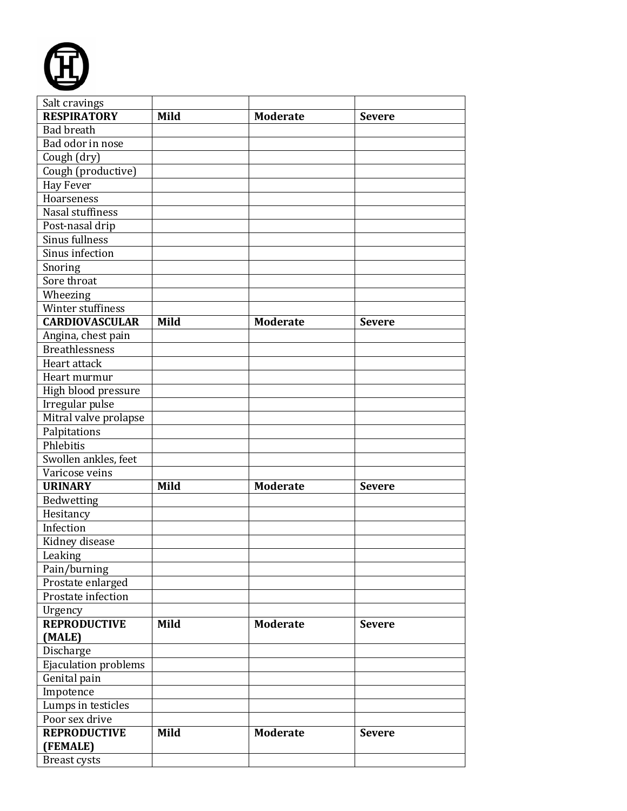

| Salt cravings         |      |                 |               |
|-----------------------|------|-----------------|---------------|
| <b>RESPIRATORY</b>    | Mild | <b>Moderate</b> | <b>Severe</b> |
| <b>Bad breath</b>     |      |                 |               |
| Bad odor in nose      |      |                 |               |
| Cough (dry)           |      |                 |               |
| Cough (productive)    |      |                 |               |
| <b>Hay Fever</b>      |      |                 |               |
| Hoarseness            |      |                 |               |
| Nasal stuffiness      |      |                 |               |
| Post-nasal drip       |      |                 |               |
| Sinus fullness        |      |                 |               |
| Sinus infection       |      |                 |               |
| Snoring               |      |                 |               |
| Sore throat           |      |                 |               |
| Wheezing              |      |                 |               |
| Winter stuffiness     |      |                 |               |
| <b>CARDIOVASCULAR</b> | Mild | <b>Moderate</b> | <b>Severe</b> |
| Angina, chest pain    |      |                 |               |
| <b>Breathlessness</b> |      |                 |               |
| Heart attack          |      |                 |               |
| Heart murmur          |      |                 |               |
| High blood pressure   |      |                 |               |
| Irregular pulse       |      |                 |               |
| Mitral valve prolapse |      |                 |               |
| Palpitations          |      |                 |               |
| Phlebitis             |      |                 |               |
| Swollen ankles, feet  |      |                 |               |
| Varicose veins        |      |                 |               |
| <b>URINARY</b>        | Mild | <b>Moderate</b> | <b>Severe</b> |
| Bedwetting            |      |                 |               |
| Hesitancy             |      |                 |               |
| Infection             |      |                 |               |
| Kidney disease        |      |                 |               |
| Leaking               |      |                 |               |
| Pain/burning          |      |                 |               |
| Prostate enlarged     |      |                 |               |
| Prostate infection    |      |                 |               |
| Urgency               |      |                 |               |
| <b>REPRODUCTIVE</b>   | Mild | <b>Moderate</b> | <b>Severe</b> |
| (MALE)                |      |                 |               |
| Discharge             |      |                 |               |
| Ejaculation problems  |      |                 |               |
| Genital pain          |      |                 |               |
| Impotence             |      |                 |               |
| Lumps in testicles    |      |                 |               |
| Poor sex drive        |      |                 |               |
| <b>REPRODUCTIVE</b>   | Mild | <b>Moderate</b> | <b>Severe</b> |
| (FEMALE)              |      |                 |               |
| Breast cysts          |      |                 |               |
|                       |      |                 |               |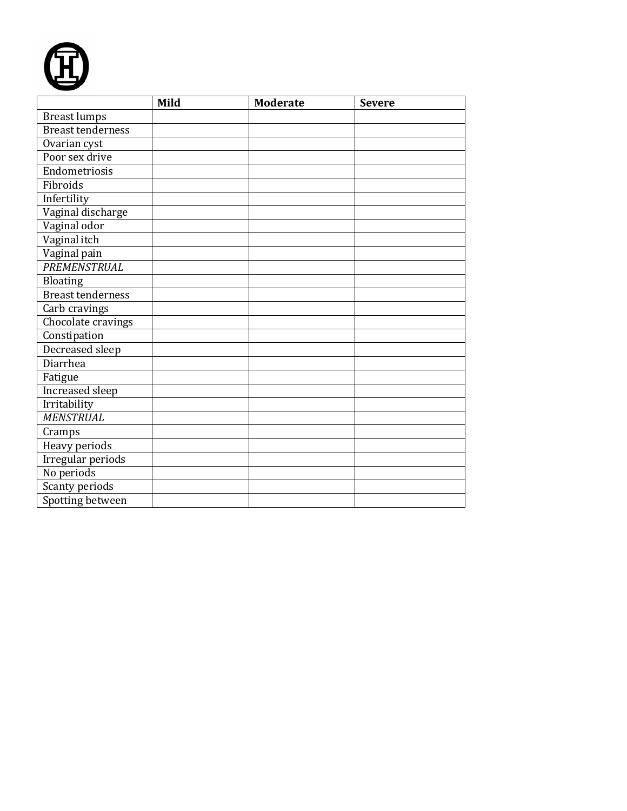

|                          | Mild | <b>Moderate</b> | <b>Severe</b> |
|--------------------------|------|-----------------|---------------|
| <b>Breast lumps</b>      |      |                 |               |
| <b>Breast tenderness</b> |      |                 |               |
| Ovarian cyst             |      |                 |               |
| Poor sex drive           |      |                 |               |
| Endometriosis            |      |                 |               |
| Fibroids                 |      |                 |               |
| Infertility              |      |                 |               |
| Vaginal discharge        |      |                 |               |
| Vaginal odor             |      |                 |               |
| Vaginal itch             |      |                 |               |
| Vaginal pain             |      |                 |               |
| PREMENSTRUAL             |      |                 |               |
| Bloating                 |      |                 |               |
| <b>Breast tenderness</b> |      |                 |               |
| Carb cravings            |      |                 |               |
| Chocolate cravings       |      |                 |               |
| Constipation             |      |                 |               |
| Decreased sleep          |      |                 |               |
| Diarrhea                 |      |                 |               |
| Fatigue                  |      |                 |               |
| Increased sleep          |      |                 |               |
| Irritability             |      |                 |               |
| <b>MENSTRUAL</b>         |      |                 |               |
| Cramps                   |      |                 |               |
| Heavy periods            |      |                 |               |
| <b>Irregular</b> periods |      |                 |               |
| No periods               |      |                 |               |
| Scanty periods           |      |                 |               |
| Spotting between         |      |                 |               |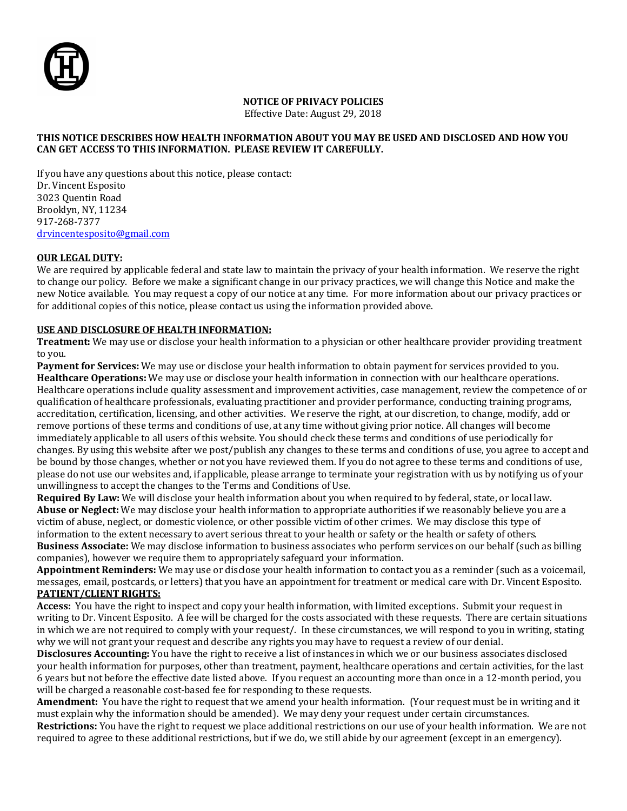

#### **NOTICE OF PRIVACY POLICIES**

Effective Date: August 29, 2018

#### **THIS NOTICE DESCRIBES HOW HEALTH INFORMATION ABOUT YOU MAY BE USED AND DISCLOSED AND HOW YOU CAN GET ACCESS TO THIS INFORMATION. PLEASE REVIEW IT CAREFULLY.**

If you have any questions about this notice, please contact: Dr. Vincent Esposito 3023 Quentin Road Brooklyn, NY, 11234 917-268-7377 [drvincentesposito@gmail.com](mailto:drvincentesposito@gmail.com)

#### **OUR LEGAL DUTY:**

We are required by applicable federal and state law to maintain the privacy of your health information. We reserve the right to change our policy. Before we make a significant change in our privacy practices, we will change this Notice and make the new Notice available. You may request a copy of our notice at any time. For more information about our privacy practices or for additional copies of this notice, please contact us using the information provided above.

#### **USE AND DISCLOSURE OF HEALTH INFORMATION:**

**Treatment:** We may use or disclose your health information to a physician or other healthcare provider providing treatment to you.

**Payment for Services:** We may use or disclose your health information to obtain payment for services provided to you. **Healthcare Operations:** We may use or disclose your health information in connection with our healthcare operations. Healthcare operations include quality assessment and improvement activities, case management, review the competence of or qualification of healthcare professionals, evaluating practitioner and provider performance, conducting training programs, accreditation, certification, licensing, and other activities. We reserve the right, at our discretion, to change, modify, add or remove portions of these terms and conditions of use, at any time without giving prior notice. All changes will become immediately applicable to all users of this website. You should check these terms and conditions of use periodically for changes. By using this website after we post/publish any changes to these terms and conditions of use, you agree to accept and be bound by those changes, whether or not you have reviewed them. If you do not agree to these terms and conditions of use, please do not use our websites and, if applicable, please arrange to terminate your registration with us by notifying us of your unwillingness to accept the changes to the Terms and Conditions of Use.

**Required By Law:** We will disclose your health information about you when required to by federal, state, or local law. **Abuse or Neglect:** We may disclose your health information to appropriate authorities if we reasonably believe you are a victim of abuse, neglect, or domestic violence, or other possible victim of other crimes. We may disclose this type of information to the extent necessary to avert serious threat to your health or safety or the health or safety of others. **Business Associate:** We may disclose information to business associates who perform services on our behalf (such as billing companies), however we require them to appropriately safeguard your information.

**Appointment Reminders:** We may use or disclose your health information to contact you as a reminder (such as a voicemail, messages, email, postcards, or letters) that you have an appointment for treatment or medical care with Dr. Vincent Esposito. **PATIENT/CLIENT RIGHTS:**

**Access:** You have the right to inspect and copy your health information, with limited exceptions. Submit your request in writing to Dr. Vincent Esposito. A fee will be charged for the costs associated with these requests. There are certain situations in which we are not required to comply with your request/. In these circumstances, we will respond to you in writing, stating why we will not grant your request and describe any rights you may have to request a review of our denial.

**Disclosures Accounting:** You have the right to receive a list of instances in which we or our business associates disclosed your health information for purposes, other than treatment, payment, healthcare operations and certain activities, for the last 6 years but not before the effective date listed above. If you request an accounting more than once in a 12-month period, you will be charged a reasonable cost-based fee for responding to these requests.

**Amendment:** You have the right to request that we amend your health information. (Your request must be in writing and it must explain why the information should be amended). We may deny your request under certain circumstances.

**Restrictions:** You have the right to request we place additional restrictions on our use of your health information. We are not required to agree to these additional restrictions, but if we do, we still abide by our agreement (except in an emergency).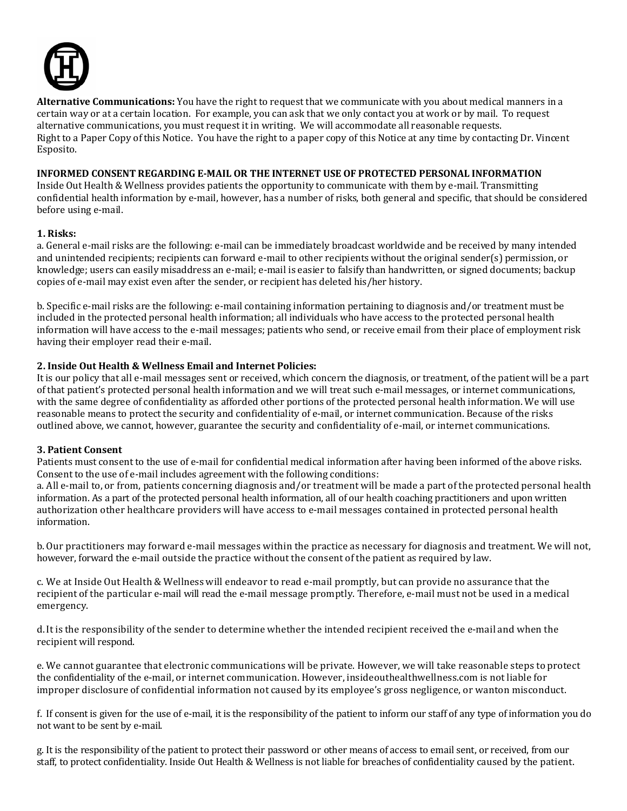

**Alternative Communications:** You have the right to request that we communicate with you about medical manners in a certain way or at a certain location. For example, you can ask that we only contact you at work or by mail. To request alternative communications, you must request it in writing. We will accommodate all reasonable requests. Right to a Paper Copy of this Notice. You have the right to a paper copy of this Notice at any time by contacting Dr. Vincent Esposito.

#### **INFORMED CONSENT REGARDING E-MAIL OR THE INTERNET USE OF PROTECTED PERSONAL INFORMATION**

Inside Out Health & Wellness provides patients the opportunity to communicate with them by e-mail. Transmitting confidential health information by e-mail, however, has a number of risks, both general and specific, that should be considered before using e-mail.

#### **1. Risks:**

a. General e-mail risks are the following: e-mail can be immediately broadcast worldwide and be received by many intended and unintended recipients; recipients can forward e-mail to other recipients without the original sender(s) permission, or knowledge; users can easily misaddress an e-mail; e-mail is easier to falsify than handwritten, or signed documents; backup copies of e-mail may exist even after the sender, or recipient has deleted his/her history.

b. Specific e-mail risks are the following: e-mail containing information pertaining to diagnosis and/or treatment must be included in the protected personal health information; all individuals who have access to the protected personal health information will have access to the e-mail messages; patients who send, or receive email from their place of employment risk having their employer read their e-mail.

#### **2. Inside Out Health & Wellness Email and Internet Policies:**

It is our policy that all e-mail messages sent or received, which concern the diagnosis, or treatment, of the patient will be a part of that patient's protected personal health information and we will treat such e-mail messages, or internet communications, with the same degree of confidentiality as afforded other portions of the protected personal health information. We will use reasonable means to protect the security and confidentiality of e-mail, or internet communication. Because of the risks outlined above, we cannot, however, guarantee the security and confidentiality of e-mail, or internet communications.

#### **3. Patient Consent**

Patients must consent to the use of e-mail for confidential medical information after having been informed of the above risks. Consent to the use of e-mail includes agreement with the following conditions:

a. All e-mail to, or from, patients concerning diagnosis and/or treatment will be made a part of the protected personal health information. As a part of the protected personal health information, all of our health coaching practitioners and upon written authorization other healthcare providers will have access to e-mail messages contained in protected personal health information.

b.Our practitioners may forward e-mail messages within the practice as necessary for diagnosis and treatment. We will not, however, forward the e-mail outside the practice without the consent of the patient as required by law.

c. We at Inside Out Health & Wellness will endeavor to read e-mail promptly, but can provide no assurance that the recipient of the particular e-mail will read the e-mail message promptly. Therefore, e-mail must not be used in a medical emergency.

d.It is the responsibility of the sender to determine whether the intended recipient received the e-mail and when the recipient will respond.

e. We cannot guarantee that electronic communications will be private. However, we will take reasonable steps to protect the confidentiality of the e-mail, or internet communication. However, insideouthealthwellness.com is not liable for improper disclosure of confidential information not caused by its employee's gross negligence, or wanton misconduct.

f. If consent is given for the use of e-mail, it is the responsibility of the patient to inform our staff of any type of information you do not want to be sent by e-mail.

g. It is the responsibility of the patient to protect their password or other means of access to email sent, or received, from our staff, to protect confidentiality. Inside Out Health & Wellness is not liable for breaches of confidentiality caused by the patient.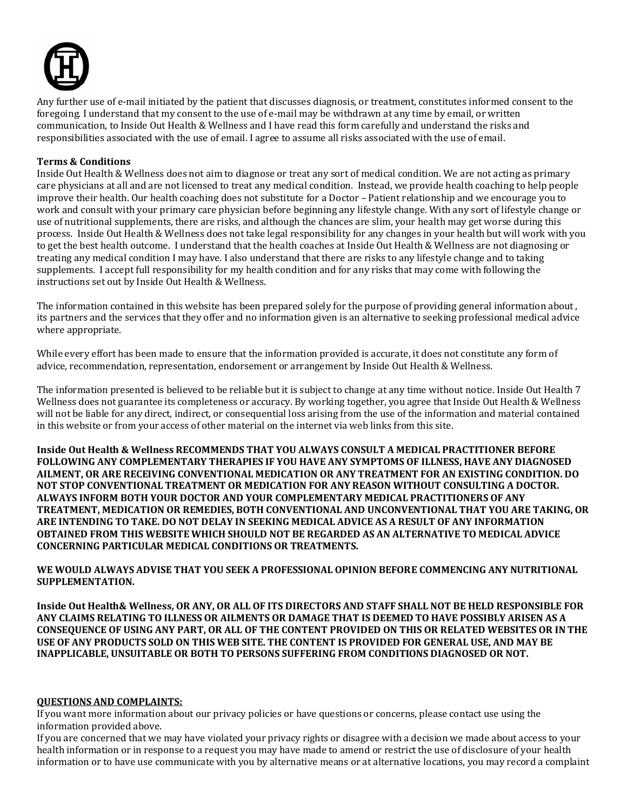

Any further use of e-mail initiated by the patient that discusses diagnosis, or treatment, constitutes informed consent to the foregoing. I understand that my consent to the use of e-mail may be withdrawn at any time by email, or written communication, to Inside Out Health & Wellness and I have read this form carefully and understand the risks and responsibilities associated with the use of email. I agree to assume all risks associated with the use of email.

#### **Terms & Conditions**

Inside Out Health & Wellness does not aim to diagnose or treat any sort of medical condition. We are not acting as primary care physicians at all and are not licensed to treat any medical condition. Instead, we provide health coaching to help people improve their health. Our health coaching does not substitute for a Doctor – Patient relationship and we encourage you to work and consult with your primary care physician before beginning any lifestyle change. With any sort of lifestyle change or use of nutritional supplements, there are risks, and although the chances are slim, your health may get worse during this process. Inside Out Health & Wellness does not take legal responsibility for any changes in your health but will work with you to get the best health outcome. I understand that the health coaches at Inside Out Health & Wellness are not diagnosing or treating any medical condition I may have. I also understand that there are risks to any lifestyle change and to taking supplements. I accept full responsibility for my health condition and for any risks that may come with following the instructions set out by Inside Out Health & Wellness.

The information contained in this website has been prepared solely for the purpose of providing general information about , its partners and the services that they offer and no information given is an alternative to seeking professional medical advice where appropriate.

While every effort has been made to ensure that the information provided is accurate, it does not constitute any form of advice, recommendation, representation, endorsement or arrangement by Inside Out Health & Wellness.

The information presented is believed to be reliable but it is subject to change at any time without notice. Inside Out Health 7 Wellness does not guarantee its completeness or accuracy. By working together, you agree that Inside Out Health & Wellness will not be liable for any direct, indirect, or consequential loss arising from the use of the information and material contained in this website or from your access of other material on the internet via web links from this site.

**Inside Out Health & Wellness RECOMMENDS THAT YOU ALWAYS CONSULT A MEDICAL PRACTITIONER BEFORE FOLLOWING ANY COMPLEMENTARY THERAPIES IF YOU HAVE ANY SYMPTOMS OF ILLNESS, HAVE ANY DIAGNOSED AILMENT, OR ARE RECEIVING CONVENTIONAL MEDICATION OR ANY TREATMENT FOR AN EXISTING CONDITION. DO NOT STOP CONVENTIONAL TREATMENT OR MEDICATION FOR ANY REASON WITHOUT CONSULTING A DOCTOR. ALWAYS INFORM BOTH YOUR DOCTOR AND YOUR COMPLEMENTARY MEDICAL PRACTITIONERS OF ANY TREATMENT, MEDICATION OR REMEDIES, BOTH CONVENTIONAL AND UNCONVENTIONAL THAT YOU ARE TAKING, OR ARE INTENDING TO TAKE. DO NOT DELAY IN SEEKING MEDICAL ADVICE AS A RESULT OF ANY INFORMATION OBTAINED FROM THIS WEBSITE WHICH SHOULD NOT BE REGARDED AS AN ALTERNATIVE TO MEDICAL ADVICE CONCERNING PARTICULAR MEDICAL CONDITIONS OR TREATMENTS.**

**WE WOULD ALWAYS ADVISE THAT YOU SEEK A PROFESSIONAL OPINION BEFORE COMMENCING ANY NUTRITIONAL SUPPLEMENTATION.**

**Inside Out Health& Wellness, OR ANY, OR ALL OF ITS DIRECTORS AND STAFF SHALL NOT BE HELD RESPONSIBLE FOR ANY CLAIMS RELATING TO ILLNESS OR AILMENTS OR DAMAGE THAT IS DEEMED TO HAVE POSSIBLY ARISEN AS A CONSEQUENCE OF USING ANY PART, OR ALL OF THE CONTENT PROVIDED ON THIS OR RELATED WEBSITES OR IN THE USE OF ANY PRODUCTS SOLD ON THIS WEB SITE. THE CONTENT IS PROVIDED FOR GENERAL USE, AND MAY BE INAPPLICABLE, UNSUITABLE OR BOTH TO PERSONS SUFFERING FROM CONDITIONS DIAGNOSED OR NOT.**

#### **QUESTIONS AND COMPLAINTS:**

If you want more information about our privacy policies or have questions or concerns, please contact use using the information provided above.

If you are concerned that we may have violated your privacy rights or disagree with a decision we made about access to your health information or in response to a request you may have made to amend or restrict the use of disclosure of your health information or to have use communicate with you by alternative means or at alternative locations, you may record a complaint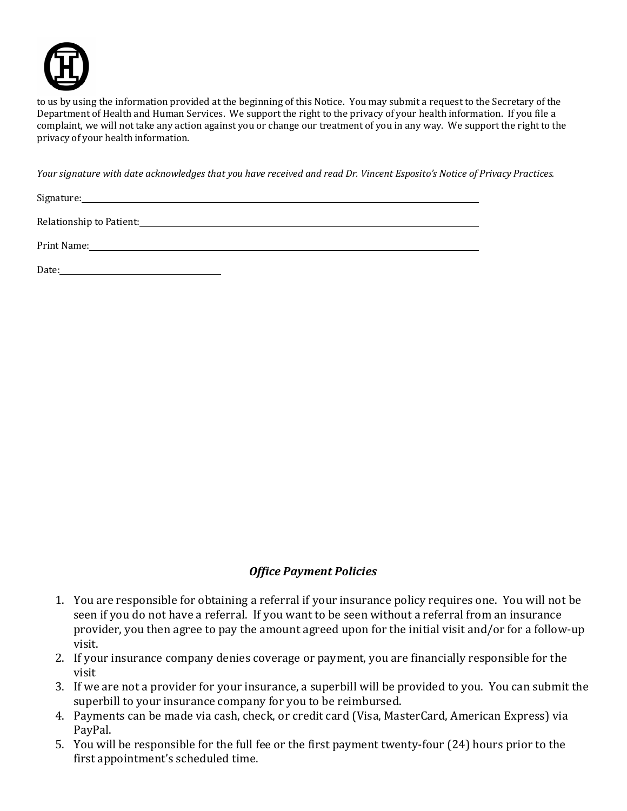

to us by using the information provided at the beginning of this Notice. You may submit a request to the Secretary of the Department of Health and Human Services. We support the right to the privacy of your health information. If you file a complaint, we will not take any action against you or change our treatment of you in any way. We support the right to the privacy of your health information.

*Your signature with date acknowledges that you have received and read Dr. Vincent Esposito's Notice of Privacy Practices.*

Signature: the contract of the contract of the contract of the contract of the contract of the contract of the contract of the contract of the contract of the contract of the contract of the contract of the contract of the

Relationship to Patient:

Print Name:

Date: <u>Date: Explored Base</u>

## *Office Payment Policies*

- 1. You are responsible for obtaining a referral if your insurance policy requires one. You will not be seen if you do not have a referral. If you want to be seen without a referral from an insurance provider, you then agree to pay the amount agreed upon for the initial visit and/or for a follow-up visit.
- 2. If your insurance company denies coverage or payment, you are financially responsible for the visit
- 3. If we are not a provider for your insurance, a superbill will be provided to you. You can submit the superbill to your insurance company for you to be reimbursed.
- 4. Payments can be made via cash, check, or credit card (Visa, MasterCard, American Express) via PayPal.
- 5. You will be responsible for the full fee or the first payment twenty-four (24) hours prior to the first appointment's scheduled time.